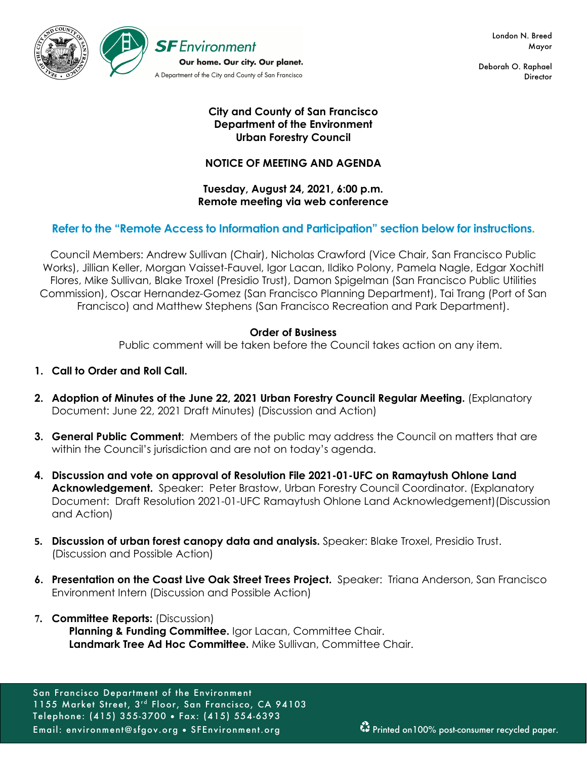

London N. Breed Mayor

Deborah O. Raphael **Director** 

## **City and County of San Francisco Department of the Environment Urban Forestry Council**

## **NOTICE OF MEETING AND AGENDA**

### **Tuesday, August 24, 2021, 6:00 p.m. Remote meeting via web conference**

## **Refer to the "Remote Access to Information and Participation" section below for instructions.**

Council Members: Andrew Sullivan (Chair), Nicholas Crawford (Vice Chair, San Francisco Public Works), Jillian Keller, Morgan Vaisset-Fauvel, Igor Lacan, Ildiko Polony, Pamela Nagle, Edgar Xochitl Flores, Mike Sullivan, Blake Troxel (Presidio Trust), Damon Spigelman (San Francisco Public Utilities Commission), Oscar Hernandez-Gomez (San Francisco Planning Department), Tai Trang (Port of San Francisco) and Matthew Stephens (San Francisco Recreation and Park Department).

### **Order of Business**

Public comment will be taken before the Council takes action on any item.

- **1. Call to Order and Roll Call.**
- **2. Adoption of Minutes of the June 22, 2021 Urban Forestry Council Regular Meeting.** (Explanatory Document: June 22, 2021 Draft Minutes) (Discussion and Action)
- **3. General Public Comment**: Members of the public may address the Council on matters that are within the Council's jurisdiction and are not on today's agenda.
- **4. Discussion and vote on approval of Resolution File 2021-01-UFC on Ramaytush Ohlone Land Acknowledgement.** Speaker: Peter Brastow, Urban Forestry Council Coordinator. (Explanatory Document: Draft Resolution 2021-01-UFC Ramaytush Ohlone Land Acknowledgement)(Discussion and Action)
- **5. Discussion of urban forest canopy data and analysis.** Speaker: Blake Troxel, Presidio Trust. (Discussion and Possible Action)
- **6. Presentation on the Coast Live Oak Street Trees Project.** Speaker: Triana Anderson, San Francisco Environment Intern (Discussion and Possible Action)
- **7. Committee Reports:** (Discussion) Planning & Funding Committee. Igor Lacan, Committee Chair. **Landmark Tree Ad Hoc Committee.** Mike Sullivan, Committee Chair.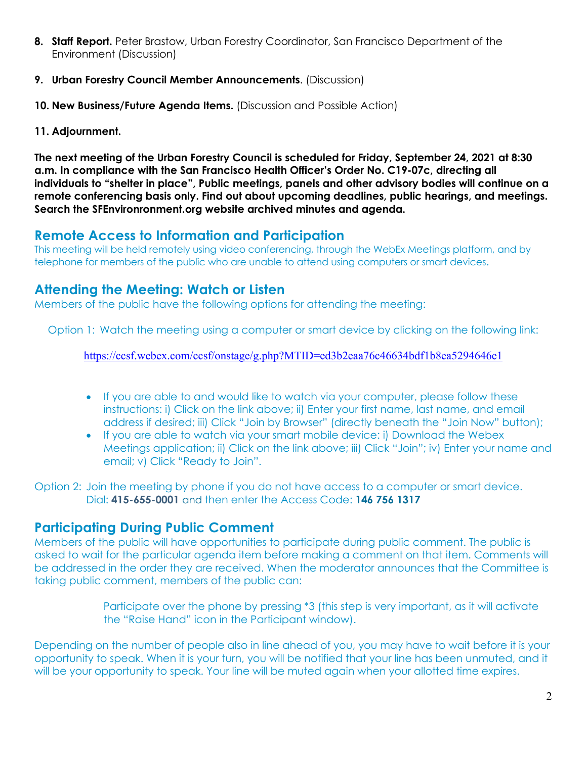- **8. Staff Report.** Peter Brastow, Urban Forestry Coordinator, San Francisco Department of the Environment (Discussion)
- **9. Urban Forestry Council Member Announcements**. (Discussion)
- **10. New Business/Future Agenda Items.** (Discussion and Possible Action)
- **11. Adjournment.**

**The next meeting of the Urban Forestry Council is scheduled for Friday, September 24, 2021 at 8:30 a.m. In compliance with the San Francisco Health Officer's Order No. C19-07c, directing all individuals to "shelter in place", Public meetings, panels and other advisory bodies will continue on a remote conferencing basis only. Find out about upcoming deadlines, public hearings, and meetings. Search the SFEnvironronment.org website archived minutes and agenda.**

# **Remote Access to Information and Participation**

This meeting will be held remotely using video conferencing, through the WebEx Meetings platform, and by telephone for members of the public who are unable to attend using computers or smart devices.

# **Attending the Meeting: Watch or Listen**

Members of the public have the following options for attending the meeting:

Option 1: Watch the meeting using a computer or smart device by clicking on the following link:

https://ccsf.webex.com/ccsf/onstage/g.php?MTID=ed3b2eaa76c46634bdf1b8ea5294646e1

- If you are able to and would like to watch via your computer, please follow these instructions: i) Click on the link above; ii) Enter your first name, last name, and email address if desired; iii) Click "Join by Browser" (directly beneath the "Join Now" button);
- If you are able to watch via your smart mobile device: i) Download the Webex Meetings application; ii) Click on the link above; iii) Click "Join"; iv) Enter your name and email; v) Click "Ready to Join".

Option 2: Join the meeting by phone if you do not have access to a computer or smart device. Dial: **415-655-0001** and then enter the Access Code: **146 756 1317**

## **Participating During Public Comment**

Members of the public will have opportunities to participate during public comment. The public is asked to wait for the particular agenda item before making a comment on that item. Comments will be addressed in the order they are received. When the moderator announces that the Committee is taking public comment, members of the public can:

> Participate over the phone by pressing \*3 (this step is very important, as it will activate the "Raise Hand" icon in the Participant window).

Depending on the number of people also in line ahead of you, you may have to wait before it is your opportunity to speak. When it is your turn, you will be notified that your line has been unmuted, and it will be your opportunity to speak. Your line will be muted again when your allotted time expires.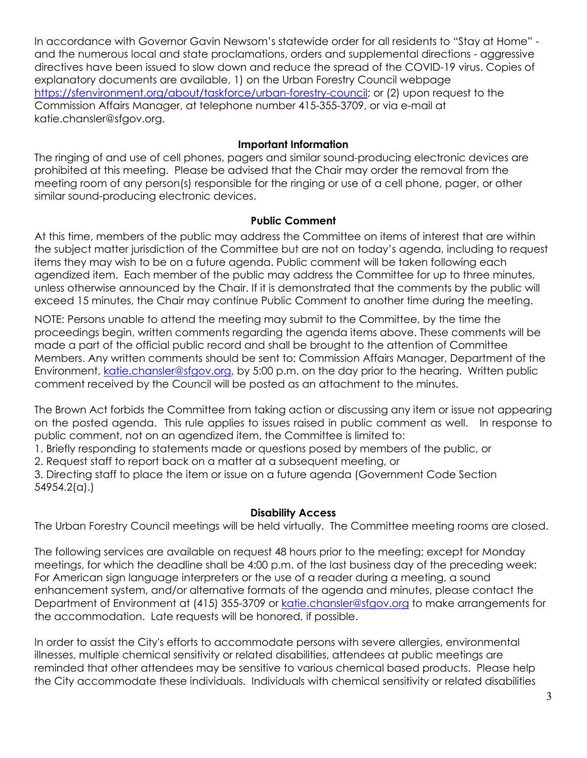In accordance with Governor Gavin Newsom's statewide order for all residents to "Stay at Home" and the numerous local and state proclamations, orders and supplemental directions - aggressive directives have been issued to slow down and reduce the spread of the COVID-19 virus. Copies of explanatory documents are available, 1) on the Urban Forestry Council webpage https://sfenvironment.org/about/taskforce/urban-forestry-council; or (2) upon request to the Commission Affairs Manager, at telephone number 415-355-3709, or via e-mail at katie.chansler@sfgov.org.

## **Important Information**

The ringing of and use of cell phones, pagers and similar sound-producing electronic devices are prohibited at this meeting. Please be advised that the Chair may order the removal from the meeting room of any person(s) responsible for the ringing or use of a cell phone, pager, or other similar sound-producing electronic devices.

## **Public Comment**

At this time, members of the public may address the Committee on items of interest that are within the subject matter jurisdiction of the Committee but are not on today's agenda, including to request items they may wish to be on a future agenda. Public comment will be taken following each agendized item. Each member of the public may address the Committee for up to three minutes, unless otherwise announced by the Chair. If it is demonstrated that the comments by the public will exceed 15 minutes, the Chair may continue Public Comment to another time during the meeting.

NOTE: Persons unable to attend the meeting may submit to the Committee, by the time the proceedings begin, written comments regarding the agenda items above. These comments will be made a part of the official public record and shall be brought to the attention of Committee Members. Any written comments should be sent to: Commission Affairs Manager, Department of the Environment, katie.chansler@sfgov.org, by 5:00 p.m. on the day prior to the hearing. Written public comment received by the Council will be posted as an attachment to the minutes.

The Brown Act forbids the Committee from taking action or discussing any item or issue not appearing on the posted agenda. This rule applies to issues raised in public comment as well. In response to public comment, not on an agendized item, the Committee is limited to:

1. Briefly responding to statements made or questions posed by members of the public, or

2. Request staff to report back on a matter at a subsequent meeting, or

3. Directing staff to place the item or issue on a future agenda (Government Code Section 54954.2(a).)

## **Disability Access**

The Urban Forestry Council meetings will be held virtually. The Committee meeting rooms are closed.

The following services are available on request 48 hours prior to the meeting; except for Monday meetings, for which the deadline shall be 4:00 p.m. of the last business day of the preceding week: For American sign language interpreters or the use of a reader during a meeting, a sound enhancement system, and/or alternative formats of the agenda and minutes, please contact the Department of Environment at (415) 355-3709 or katie.chansler@sfgov.org to make arrangements for the accommodation. Late requests will be honored, if possible.

In order to assist the City's efforts to accommodate persons with severe allergies, environmental illnesses, multiple chemical sensitivity or related disabilities, attendees at public meetings are reminded that other attendees may be sensitive to various chemical based products. Please help the City accommodate these individuals. Individuals with chemical sensitivity or related disabilities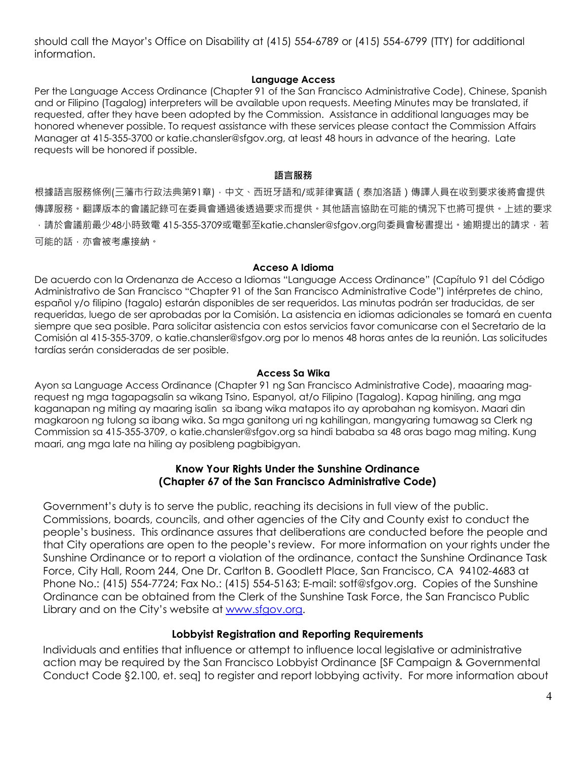should call the Mayor's Office on Disability at (415) 554-6789 or (415) 554-6799 (TTY) for additional information.

### **Language Access**

Per the Language Access Ordinance (Chapter 91 of the San Francisco Administrative Code), Chinese, Spanish and or Filipino (Tagalog) interpreters will be available upon requests. Meeting Minutes may be translated, if requested, after they have been adopted by the Commission. Assistance in additional languages may be honored whenever possible. To request assistance with these services please contact the Commission Affairs Manager at 415-355-3700 or katie.chansler@sfgov.org, at least 48 hours in advance of the hearing. Late requests will be honored if possible.

#### **語言服務**

根據語言服務條例(三藩市行政法典第91章),中文、西班牙語和/或菲律賓語(泰加洛語)傳譯人員在收到要求後將會提供 傳譯服務。翻譯版本的會議記錄可在委員會通過後透過要求而提供。其他語言協助在可能的情況下也將可提供。上述的要求 ,請於會議前最少48小時致電 415-355-3709或電郵至katie.chansler@sfgov.org向委員會秘書提出。逾期提出的請求,若 可能的話,亦會被考慮接納。

#### **Acceso A Idioma**

De acuerdo con la Ordenanza de Acceso a Idiomas "Language Access Ordinance" (Capítulo 91 del Código Administrativo de San Francisco "Chapter 91 of the San Francisco Administrative Code") intérpretes de chino, español y/o filipino (tagalo) estarán disponibles de ser requeridos. Las minutas podrán ser traducidas, de ser requeridas, luego de ser aprobadas por la Comisión. La asistencia en idiomas adicionales se tomará en cuenta siempre que sea posible. Para solicitar asistencia con estos servicios favor comunicarse con el Secretario de la Comisión al 415-355-3709, o katie.chansler@sfgov.org por lo menos 48 horas antes de la reunión. Las solicitudes tardías serán consideradas de ser posible.

#### **Access Sa Wika**

Ayon sa Language Access Ordinance (Chapter 91 ng San Francisco Administrative Code), maaaring magrequest ng mga tagapagsalin sa wikang Tsino, Espanyol, at/o Filipino (Tagalog). Kapag hiniling, ang mga kaganapan ng miting ay maaring isalin sa ibang wika matapos ito ay aprobahan ng komisyon. Maari din magkaroon ng tulong sa ibang wika. Sa mga ganitong uri ng kahilingan, mangyaring tumawag sa Clerk ng Commission sa 415-355-3709, o katie.chansler@sfgov.org sa hindi bababa sa 48 oras bago mag miting. Kung maari, ang mga late na hiling ay posibleng pagbibigyan.

### **Know Your Rights Under the Sunshine Ordinance (Chapter 67 of the San Francisco Administrative Code)**

Government's duty is to serve the public, reaching its decisions in full view of the public. Commissions, boards, councils, and other agencies of the City and County exist to conduct the people's business. This ordinance assures that deliberations are conducted before the people and that City operations are open to the people's review. For more information on your rights under the Sunshine Ordinance or to report a violation of the ordinance, contact the Sunshine Ordinance Task Force, City Hall, Room 244, One Dr. Carlton B. Goodlett Place, San Francisco, CA 94102-4683 at Phone No.: (415) 554-7724; Fax No.: (415) 554-5163; E-mail: sotf@sfgov.org. Copies of the Sunshine Ordinance can be obtained from the Clerk of the Sunshine Task Force, the San Francisco Public Library and on the City's website at www.sfgov.org.

### **Lobbyist Registration and Reporting Requirements**

Individuals and entities that influence or attempt to influence local legislative or administrative action may be required by the San Francisco Lobbyist Ordinance [SF Campaign & Governmental Conduct Code §2.100, et. seq] to register and report lobbying activity. For more information about